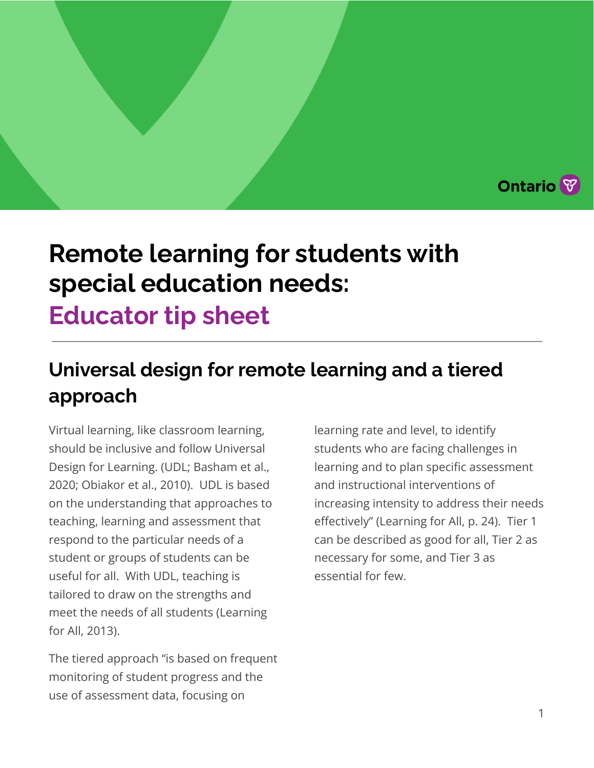# **Remote learning for students with special education needs:**

# **Educator tip sheet**

## **Universal design for remote learning and a tiered approach**

Virtual learning, like classroom learning, should be inclusive and follow Universal Design for Learning. (UDL; Basham et al., 2020; Obiakor et al., 2010). UDL is based on the understanding that approaches to teaching, learning and assessment that respond to the particular needs of a student or groups of students can be useful for all. With UDL, teaching is tailored to draw on the strengths and meet the needs of all students (Learning for All, 2013).

The tiered approach "is based on frequent monitoring of student progress and the use of assessment data, focusing on

learning rate and level, to identify students who are facing challenges in learning and to plan specific assessment and instructional interventions of increasing intensity to address their needs effectively" (Learning for All, p. 24). Tier 1 can be described as good for all, Tier 2 as necessary for some, and Tier 3 as essential for few.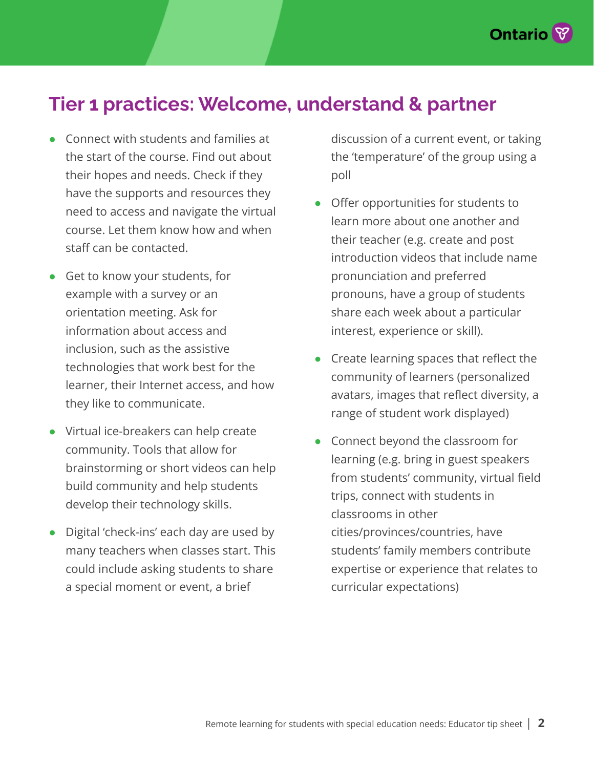

### **Tier 1 practices: Welcome, understand & partner**

- Connect with students and families at the start of the course. Find out about their hopes and needs. Check if they have the supports and resources they need to access and navigate the virtual course. Let them know how and when staff can be contacted.
- Get to know your students, for example with a survey or an orientation meeting. Ask for information about access and inclusion, such as the assistive technologies that work best for the learner, their Internet access, and how they like to communicate.
- Virtual ice-breakers can help create community. Tools that allow for brainstorming or short videos can help build community and help students develop their technology skills.
- Digital 'check-ins' each day are used by many teachers when classes start. This could include asking students to share a special moment or event, a brief

discussion of a current event, or taking the 'temperature' of the group using a poll

- Offer opportunities for students to learn more about one another and their teacher (e.g. create and post introduction videos that include name pronunciation and preferred pronouns, have a group of students share each week about a particular interest, experience or skill).
- Create learning spaces that reflect the community of learners (personalized avatars, images that reflect diversity, a range of student work displayed)
- Connect beyond the classroom for learning (e.g. bring in guest speakers from students' community, virtual field trips, connect with students in classrooms in other cities/provinces/countries, have students' family members contribute expertise or experience that relates to curricular expectations)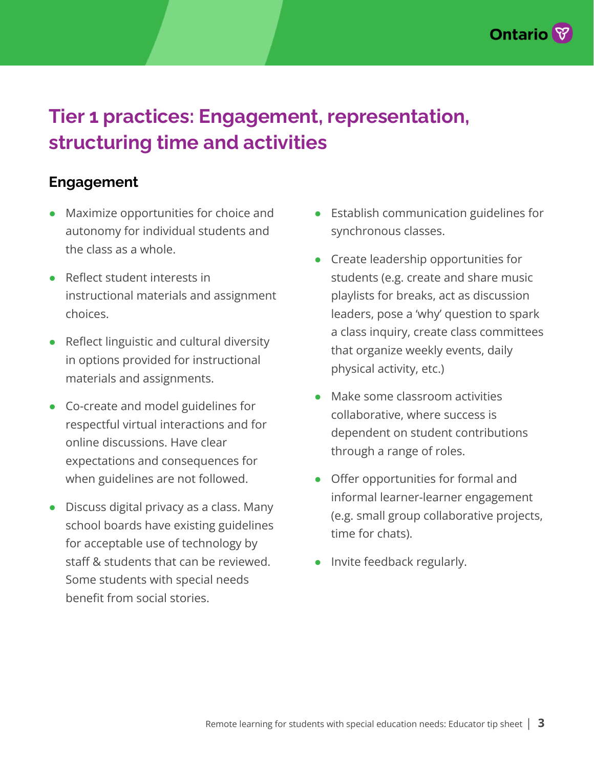

## **Tier 1 practices: Engagement, representation, structuring time and activities**

#### **Engagement**

- Maximize opportunities for choice and autonomy for individual students and the class as a whole.
- Reflect student interests in instructional materials and assignment choices.
- Reflect linguistic and cultural diversity in options provided for instructional materials and assignments.
- Co-create and model guidelines for respectful virtual interactions and for online discussions. Have clear expectations and consequences for when guidelines are not followed.
- Discuss digital privacy as a class. Many school boards have existing guidelines for acceptable use of technology by staff & students that can be reviewed. Some students with special needs benefit from social stories.
- Establish communication guidelines for synchronous classes.
- Create leadership opportunities for students (e.g. create and share music playlists for breaks, act as discussion leaders, pose a 'why' question to spark a class inquiry, create class committees that organize weekly events, daily physical activity, etc.)
- Make some classroom activities collaborative, where success is dependent on student contributions through a range of roles.
- Offer opportunities for formal and informal learner-learner engagement (e.g. small group collaborative projects, time for chats).
- Invite feedback regularly.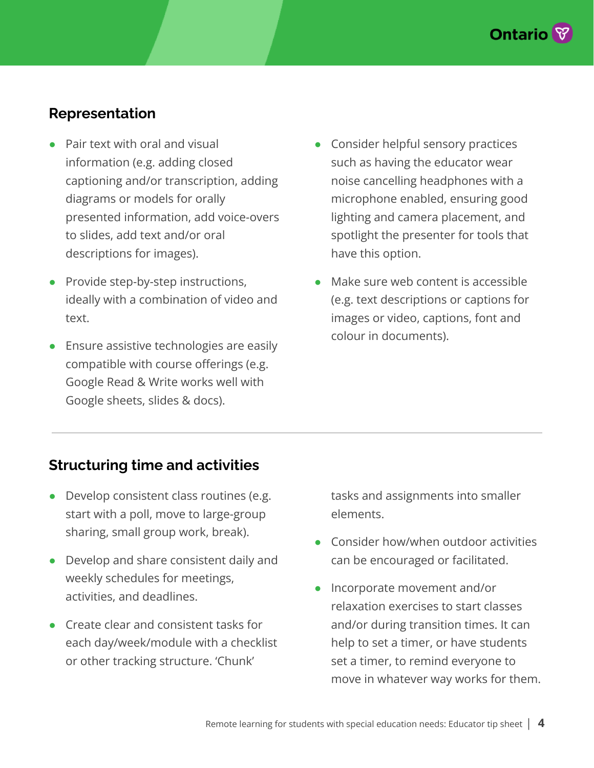

#### **Representation**

- Pair text with oral and visual information (e.g. adding closed captioning and/or transcription, adding diagrams or models for orally presented information, add voice-overs to slides, add text and/or oral descriptions for images).
- **Provide step-by-step instructions,** ideally with a combination of video and text.
- Ensure assistive technologies are easily compatible with course offerings (e.g. Google Read & Write works well with Google sheets, slides & docs).
- Consider helpful sensory practices such as having the educator wear noise cancelling headphones with a microphone enabled, ensuring good lighting and camera placement, and spotlight the presenter for tools that have this option.
- Make sure web content is accessible (e.g. text descriptions or captions for images or video, captions, font and colour in documents).

#### **Structuring time and activities**

- Develop consistent class routines (e.g. start with a poll, move to large-group sharing, small group work, break).
- Develop and share consistent daily and weekly schedules for meetings, activities, and deadlines.
- Create clear and consistent tasks for each day/week/module with a checklist or other tracking structure. 'Chunk'

tasks and assignments into smaller elements.

- Consider how/when outdoor activities can be encouraged or facilitated.
- Incorporate movement and/or relaxation exercises to start classes and/or during transition times. It can help to set a timer, or have students set a timer, to remind everyone to move in whatever way works for them.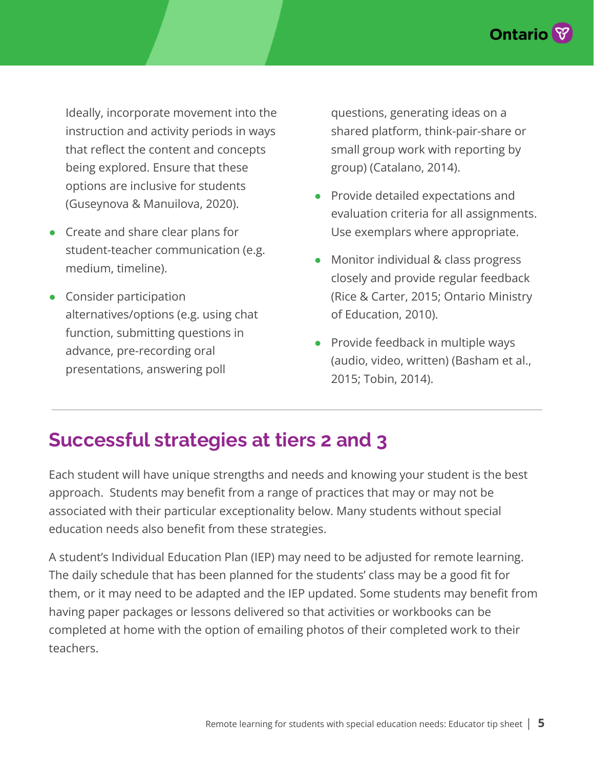

Ideally, incorporate movement into the instruction and activity periods in ways that reflect the content and concepts being explored. Ensure that these options are inclusive for students (Guseynova & Manuilova, 2020).

- Create and share clear plans for student-teacher communication (e.g. medium, timeline).
- Consider participation alternatives/options (e.g. using chat function, submitting questions in advance, pre-recording oral presentations, answering poll

questions, generating ideas on a shared platform, think-pair-share or small group work with reporting by group) (Catalano, 2014).

- Provide detailed expectations and evaluation criteria for all assignments. Use exemplars where appropriate.
- Monitor individual & class progress closely and provide regular feedback (Rice & Carter, 2015; Ontario Ministry of Education, 2010).
- Provide feedback in multiple ways (audio, video, written) (Basham et al., 2015; Tobin, 2014).

### **Successful strategies at tiers 2 and 3**

Each student will have unique strengths and needs and knowing your student is the best approach. Students may benefit from a range of practices that may or may not be associated with their particular exceptionality below. Many students without special education needs also benefit from these strategies.

A student's Individual Education Plan (IEP) may need to be adjusted for remote learning. The daily schedule that has been planned for the students' class may be a good fit for them, or it may need to be adapted and the IEP updated. Some students may benefit from having paper packages or lessons delivered so that activities or workbooks can be completed at home with the option of emailing photos of their completed work to their teachers.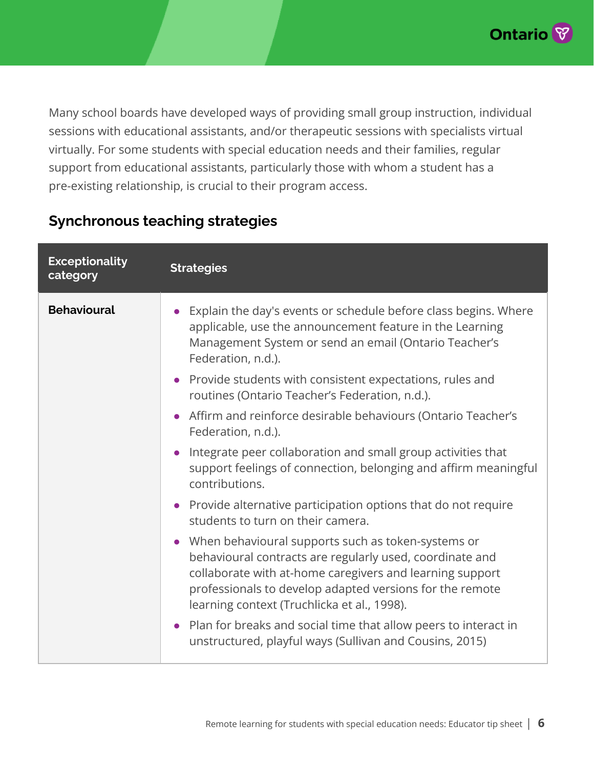

Many school boards have developed ways of providing small group instruction, individual sessions with educational assistants, and/or therapeutic sessions with specialists virtual virtually. For some students with special education needs and their families, regular support from educational assistants, particularly those with whom a student has a pre-existing relationship, is crucial to their program access.

#### **Synchronous teaching strategies**

| <b>Exceptionality</b><br>category | <b>Strategies</b>                                                                                                                                                                                                                                                                     |
|-----------------------------------|---------------------------------------------------------------------------------------------------------------------------------------------------------------------------------------------------------------------------------------------------------------------------------------|
| <b>Behavioural</b>                | Explain the day's events or schedule before class begins. Where<br>applicable, use the announcement feature in the Learning<br>Management System or send an email (Ontario Teacher's<br>Federation, n.d.).                                                                            |
|                                   | Provide students with consistent expectations, rules and<br>routines (Ontario Teacher's Federation, n.d.).                                                                                                                                                                            |
|                                   | • Affirm and reinforce desirable behaviours (Ontario Teacher's<br>Federation, n.d.).                                                                                                                                                                                                  |
|                                   | Integrate peer collaboration and small group activities that<br>support feelings of connection, belonging and affirm meaningful<br>contributions.                                                                                                                                     |
|                                   | • Provide alternative participation options that do not require<br>students to turn on their camera.                                                                                                                                                                                  |
|                                   | When behavioural supports such as token-systems or<br>behavioural contracts are regularly used, coordinate and<br>collaborate with at-home caregivers and learning support<br>professionals to develop adapted versions for the remote<br>learning context (Truchlicka et al., 1998). |
|                                   | Plan for breaks and social time that allow peers to interact in<br>unstructured, playful ways (Sullivan and Cousins, 2015)                                                                                                                                                            |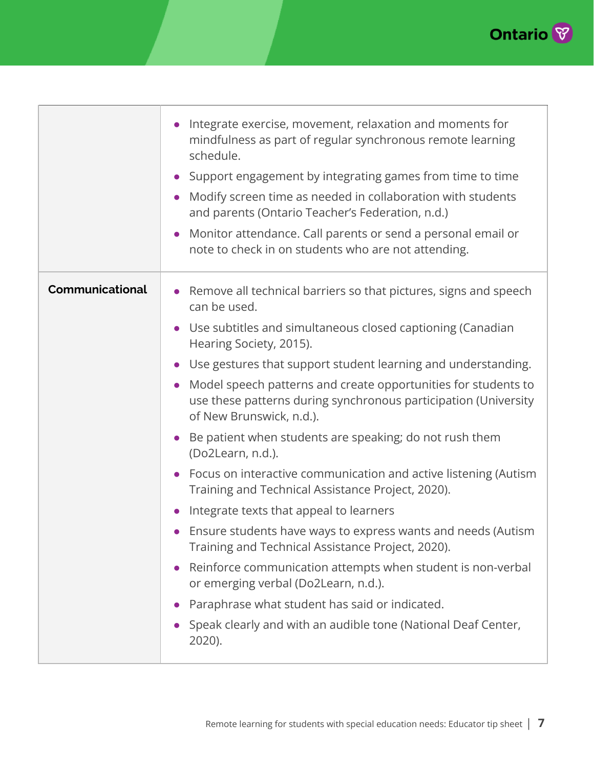

|                 | Integrate exercise, movement, relaxation and moments for<br>mindfulness as part of regular synchronous remote learning<br>schedule.<br>Support engagement by integrating games from time to time<br>Modify screen time as needed in collaboration with students<br>and parents (Ontario Teacher's Federation, n.d.)<br>Monitor attendance. Call parents or send a personal email or<br>note to check in on students who are not attending. |
|-----------------|--------------------------------------------------------------------------------------------------------------------------------------------------------------------------------------------------------------------------------------------------------------------------------------------------------------------------------------------------------------------------------------------------------------------------------------------|
| Communicational | Remove all technical barriers so that pictures, signs and speech<br>can be used.                                                                                                                                                                                                                                                                                                                                                           |
|                 | • Use subtitles and simultaneous closed captioning (Canadian<br>Hearing Society, 2015).                                                                                                                                                                                                                                                                                                                                                    |
|                 | • Use gestures that support student learning and understanding.                                                                                                                                                                                                                                                                                                                                                                            |
|                 | Model speech patterns and create opportunities for students to<br>use these patterns during synchronous participation (University<br>of New Brunswick, n.d.).                                                                                                                                                                                                                                                                              |
|                 | Be patient when students are speaking; do not rush them<br>(Do2Learn, n.d.).                                                                                                                                                                                                                                                                                                                                                               |
|                 | Focus on interactive communication and active listening (Autism<br>Training and Technical Assistance Project, 2020).                                                                                                                                                                                                                                                                                                                       |
|                 | Integrate texts that appeal to learners                                                                                                                                                                                                                                                                                                                                                                                                    |
|                 | Ensure students have ways to express wants and needs (Autism<br>Training and Technical Assistance Project, 2020).                                                                                                                                                                                                                                                                                                                          |
|                 | Reinforce communication attempts when student is non-verbal<br>or emerging verbal (Do2Learn, n.d.).                                                                                                                                                                                                                                                                                                                                        |
|                 | Paraphrase what student has said or indicated.                                                                                                                                                                                                                                                                                                                                                                                             |
|                 | Speak clearly and with an audible tone (National Deaf Center,<br>2020).                                                                                                                                                                                                                                                                                                                                                                    |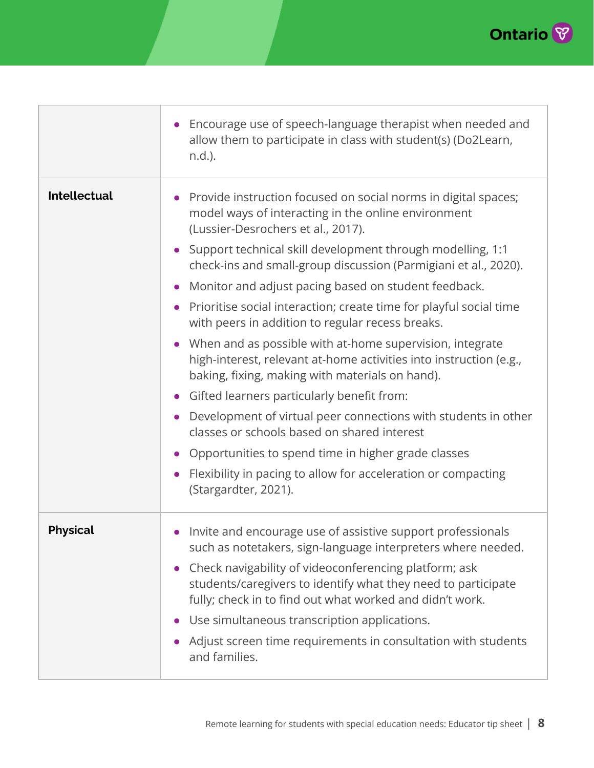

|                     | Encourage use of speech-language therapist when needed and<br>allow them to participate in class with student(s) (Do2Learn,<br>n.d.).                                                                                     |
|---------------------|---------------------------------------------------------------------------------------------------------------------------------------------------------------------------------------------------------------------------|
| <b>Intellectual</b> | Provide instruction focused on social norms in digital spaces;<br>model ways of interacting in the online environment<br>(Lussier-Desrochers et al., 2017).<br>Support technical skill development through modelling, 1:1 |
|                     | check-ins and small-group discussion (Parmigiani et al., 2020).                                                                                                                                                           |
|                     | Monitor and adjust pacing based on student feedback.                                                                                                                                                                      |
|                     | Prioritise social interaction; create time for playful social time<br>with peers in addition to regular recess breaks.                                                                                                    |
|                     | When and as possible with at-home supervision, integrate<br>high-interest, relevant at-home activities into instruction (e.g.,<br>baking, fixing, making with materials on hand).                                         |
|                     | Gifted learners particularly benefit from:                                                                                                                                                                                |
|                     | Development of virtual peer connections with students in other<br>classes or schools based on shared interest                                                                                                             |
|                     | Opportunities to spend time in higher grade classes                                                                                                                                                                       |
|                     | Flexibility in pacing to allow for acceleration or compacting<br>(Stargardter, 2021).                                                                                                                                     |
| <b>Physical</b>     | Invite and encourage use of assistive support professionals<br>such as notetakers, sign-language interpreters where needed.                                                                                               |
|                     | Check navigability of videoconferencing platform; ask<br>students/caregivers to identify what they need to participate<br>fully; check in to find out what worked and didn't work.                                        |
|                     | Use simultaneous transcription applications.                                                                                                                                                                              |
|                     | Adjust screen time requirements in consultation with students<br>and families.                                                                                                                                            |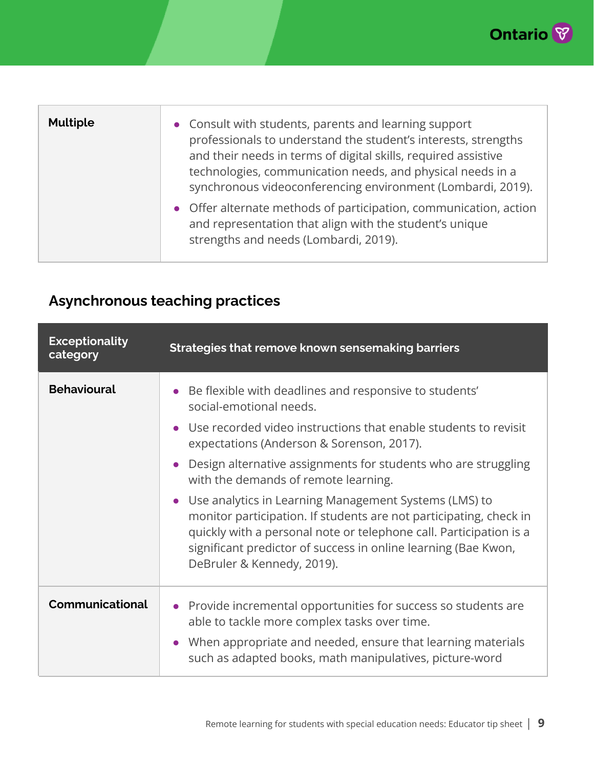

| <b>Multiple</b> | • Consult with students, parents and learning support<br>professionals to understand the student's interests, strengths<br>and their needs in terms of digital skills, required assistive<br>technologies, communication needs, and physical needs in a<br>synchronous videoconferencing environment (Lombardi, 2019).<br>• Offer alternate methods of participation, communication, action<br>and representation that align with the student's unique<br>strengths and needs (Lombardi, 2019). |
|-----------------|-------------------------------------------------------------------------------------------------------------------------------------------------------------------------------------------------------------------------------------------------------------------------------------------------------------------------------------------------------------------------------------------------------------------------------------------------------------------------------------------------|
|                 |                                                                                                                                                                                                                                                                                                                                                                                                                                                                                                 |

#### **Asynchronous teaching practices**

| <b>Exceptionality</b><br>category | Strategies that remove known sensemaking barriers                                                                                                                                                                                                                                                                                                                                                                                                                                                                                                                                                                |
|-----------------------------------|------------------------------------------------------------------------------------------------------------------------------------------------------------------------------------------------------------------------------------------------------------------------------------------------------------------------------------------------------------------------------------------------------------------------------------------------------------------------------------------------------------------------------------------------------------------------------------------------------------------|
| <b>Behavioural</b>                | Be flexible with deadlines and responsive to students'<br>social-emotional needs.<br>Use recorded video instructions that enable students to revisit<br>expectations (Anderson & Sorenson, 2017).<br>Design alternative assignments for students who are struggling<br>with the demands of remote learning.<br>Use analytics in Learning Management Systems (LMS) to<br>monitor participation. If students are not participating, check in<br>quickly with a personal note or telephone call. Participation is a<br>significant predictor of success in online learning (Bae Kwon,<br>DeBruler & Kennedy, 2019). |
| Communicational                   | • Provide incremental opportunities for success so students are<br>able to tackle more complex tasks over time.<br>When appropriate and needed, ensure that learning materials<br>$\bullet$<br>such as adapted books, math manipulatives, picture-word                                                                                                                                                                                                                                                                                                                                                           |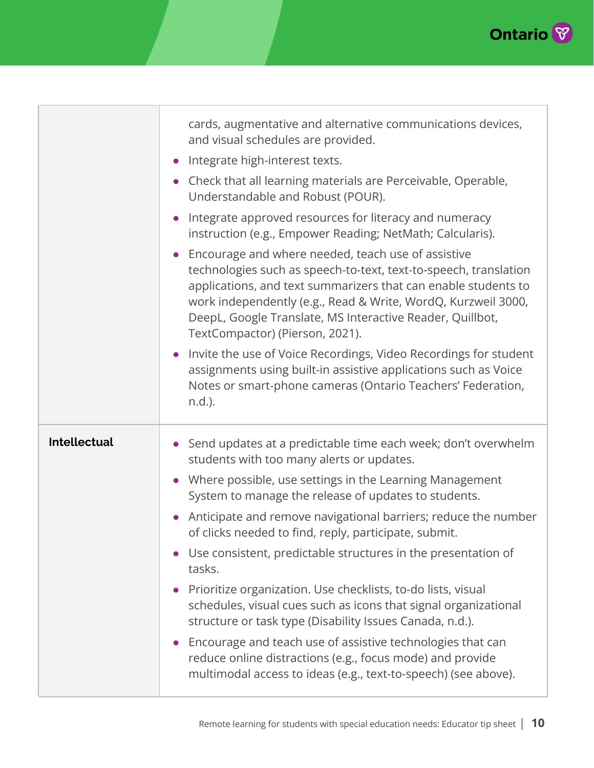

|                     | cards, augmentative and alternative communications devices,<br>and visual schedules are provided.<br>Integrate high-interest texts.<br>Check that all learning materials are Perceivable, Operable,<br>Understandable and Robust (POUR).<br>Integrate approved resources for literacy and numeracy<br>instruction (e.g., Empower Reading; NetMath; Calcularis).<br>Encourage and where needed, teach use of assistive<br>technologies such as speech-to-text, text-to-speech, translation<br>applications, and text summarizers that can enable students to<br>work independently (e.g., Read & Write, WordQ, Kurzweil 3000,<br>DeepL, Google Translate, MS Interactive Reader, Quillbot,<br>TextCompactor) (Pierson, 2021).<br>Invite the use of Voice Recordings, Video Recordings for student<br>assignments using built-in assistive applications such as Voice<br>Notes or smart-phone cameras (Ontario Teachers' Federation,<br>n.d.). |
|---------------------|----------------------------------------------------------------------------------------------------------------------------------------------------------------------------------------------------------------------------------------------------------------------------------------------------------------------------------------------------------------------------------------------------------------------------------------------------------------------------------------------------------------------------------------------------------------------------------------------------------------------------------------------------------------------------------------------------------------------------------------------------------------------------------------------------------------------------------------------------------------------------------------------------------------------------------------------|
| <b>Intellectual</b> | Send updates at a predictable time each week; don't overwhelm<br>students with too many alerts or updates.<br>• Where possible, use settings in the Learning Management<br>System to manage the release of updates to students.<br>Anticipate and remove navigational barriers; reduce the number<br>of clicks needed to find, reply, participate, submit.<br>Use consistent, predictable structures in the presentation of<br>tasks.<br>Prioritize organization. Use checklists, to-do lists, visual<br>schedules, visual cues such as icons that signal organizational<br>structure or task type (Disability Issues Canada, n.d.).<br>Encourage and teach use of assistive technologies that can<br>reduce online distractions (e.g., focus mode) and provide<br>multimodal access to ideas (e.g., text-to-speech) (see above).                                                                                                            |